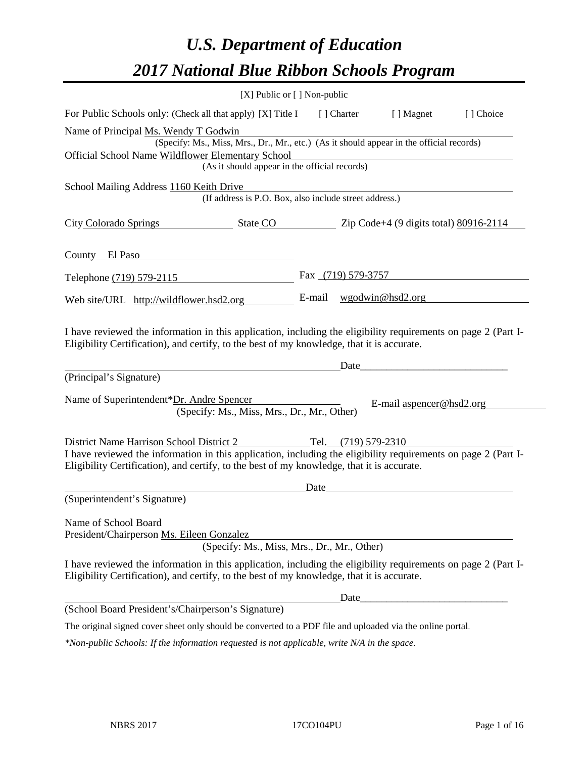# *U.S. Department of Education 2017 National Blue Ribbon Schools Program*

| [X] Public or [] Non-public                                                                                                                                                                                  |       |                                                                                                                                                                                                                               |           |
|--------------------------------------------------------------------------------------------------------------------------------------------------------------------------------------------------------------|-------|-------------------------------------------------------------------------------------------------------------------------------------------------------------------------------------------------------------------------------|-----------|
| For Public Schools only: (Check all that apply) [X] Title I [] Charter [] Magnet                                                                                                                             |       |                                                                                                                                                                                                                               | [] Choice |
| Name of Principal Ms. Wendy T Godwin                                                                                                                                                                         |       |                                                                                                                                                                                                                               |           |
| (Specify: Ms., Miss, Mrs., Dr., Mr., etc.) (As it should appear in the official records)                                                                                                                     |       |                                                                                                                                                                                                                               |           |
| Official School Name Wildflower Elementary School<br>(As it should appear in the official records)                                                                                                           |       |                                                                                                                                                                                                                               |           |
|                                                                                                                                                                                                              |       |                                                                                                                                                                                                                               |           |
| School Mailing Address 1160 Keith Drive<br>(If address is P.O. Box, also include street address.)                                                                                                            |       |                                                                                                                                                                                                                               |           |
| City Colorado Springs State CO Zip Code+4 (9 digits total) 80916-2114                                                                                                                                        |       |                                                                                                                                                                                                                               |           |
| County El Paso                                                                                                                                                                                               |       |                                                                                                                                                                                                                               |           |
| Telephone (719) 579-2115                                                                                                                                                                                     |       | Fax $(719)$ 579-3757                                                                                                                                                                                                          |           |
| Web site/URL http://wildflower.hsd2.org                                                                                                                                                                      |       | E-mail $wgodwin@hsd2.org$                                                                                                                                                                                                     |           |
| (Principal's Signature)                                                                                                                                                                                      | Date  |                                                                                                                                                                                                                               |           |
| Name of Superintendent*Dr. Andre Spencer<br>(Specify: Ms., Miss, Mrs., Dr., Mr., Other)                                                                                                                      |       | E-mail aspencer@hsd2.org                                                                                                                                                                                                      |           |
|                                                                                                                                                                                                              |       |                                                                                                                                                                                                                               |           |
| District Name Harrison School District 2 Tel. (719) 579-2310                                                                                                                                                 |       |                                                                                                                                                                                                                               |           |
| I have reviewed the information in this application, including the eligibility requirements on page 2 (Part I-<br>Eligibility Certification), and certify, to the best of my knowledge, that it is accurate. |       |                                                                                                                                                                                                                               |           |
|                                                                                                                                                                                                              |       | Date and the same state of the same state of the same state of the same state of the same state of the same state of the same state of the same state of the same state of the same state of the same state of the same state |           |
| (Superintendent's Signature)                                                                                                                                                                                 |       |                                                                                                                                                                                                                               |           |
| Name of School Board                                                                                                                                                                                         |       |                                                                                                                                                                                                                               |           |
| President/Chairperson Ms. Eileen Gonzalez                                                                                                                                                                    |       |                                                                                                                                                                                                                               |           |
| (Specify: Ms., Miss, Mrs., Dr., Mr., Other)                                                                                                                                                                  |       |                                                                                                                                                                                                                               |           |
| I have reviewed the information in this application, including the eligibility requirements on page 2 (Part I-<br>Eligibility Certification), and certify, to the best of my knowledge, that it is accurate. |       |                                                                                                                                                                                                                               |           |
|                                                                                                                                                                                                              | Date_ |                                                                                                                                                                                                                               |           |
| (School Board President's/Chairperson's Signature)                                                                                                                                                           |       |                                                                                                                                                                                                                               |           |
| The original signed cover sheet only should be converted to a PDF file and uploaded via the online portal.                                                                                                   |       |                                                                                                                                                                                                                               |           |
| *Non-public Schools: If the information requested is not applicable, write N/A in the space.                                                                                                                 |       |                                                                                                                                                                                                                               |           |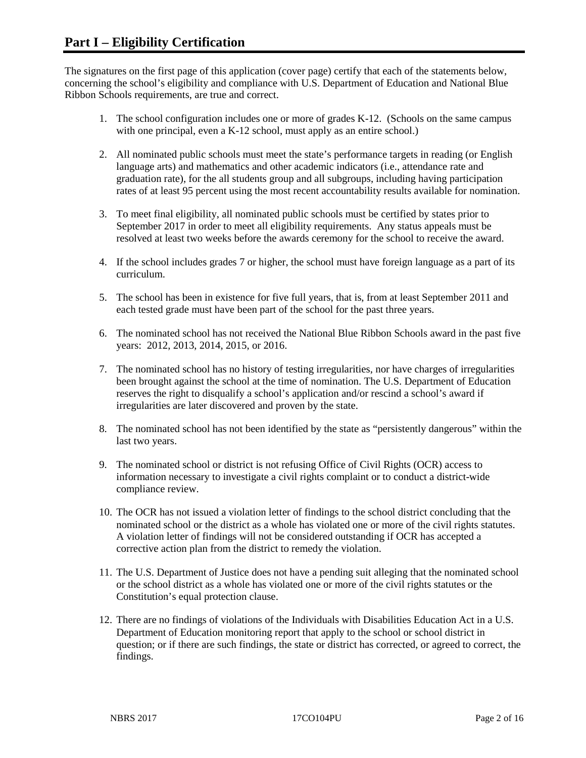The signatures on the first page of this application (cover page) certify that each of the statements below, concerning the school's eligibility and compliance with U.S. Department of Education and National Blue Ribbon Schools requirements, are true and correct.

- 1. The school configuration includes one or more of grades K-12. (Schools on the same campus with one principal, even a K-12 school, must apply as an entire school.)
- 2. All nominated public schools must meet the state's performance targets in reading (or English language arts) and mathematics and other academic indicators (i.e., attendance rate and graduation rate), for the all students group and all subgroups, including having participation rates of at least 95 percent using the most recent accountability results available for nomination.
- 3. To meet final eligibility, all nominated public schools must be certified by states prior to September 2017 in order to meet all eligibility requirements. Any status appeals must be resolved at least two weeks before the awards ceremony for the school to receive the award.
- 4. If the school includes grades 7 or higher, the school must have foreign language as a part of its curriculum.
- 5. The school has been in existence for five full years, that is, from at least September 2011 and each tested grade must have been part of the school for the past three years.
- 6. The nominated school has not received the National Blue Ribbon Schools award in the past five years: 2012, 2013, 2014, 2015, or 2016.
- 7. The nominated school has no history of testing irregularities, nor have charges of irregularities been brought against the school at the time of nomination. The U.S. Department of Education reserves the right to disqualify a school's application and/or rescind a school's award if irregularities are later discovered and proven by the state.
- 8. The nominated school has not been identified by the state as "persistently dangerous" within the last two years.
- 9. The nominated school or district is not refusing Office of Civil Rights (OCR) access to information necessary to investigate a civil rights complaint or to conduct a district-wide compliance review.
- 10. The OCR has not issued a violation letter of findings to the school district concluding that the nominated school or the district as a whole has violated one or more of the civil rights statutes. A violation letter of findings will not be considered outstanding if OCR has accepted a corrective action plan from the district to remedy the violation.
- 11. The U.S. Department of Justice does not have a pending suit alleging that the nominated school or the school district as a whole has violated one or more of the civil rights statutes or the Constitution's equal protection clause.
- 12. There are no findings of violations of the Individuals with Disabilities Education Act in a U.S. Department of Education monitoring report that apply to the school or school district in question; or if there are such findings, the state or district has corrected, or agreed to correct, the findings.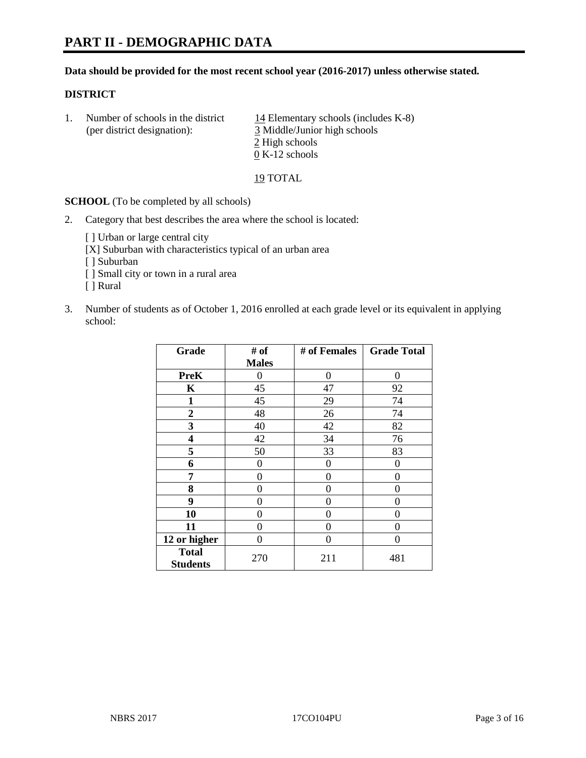#### **Data should be provided for the most recent school year (2016-2017) unless otherwise stated.**

#### **DISTRICT**

1. Number of schools in the district  $14$  Elementary schools (includes K-8) (per district designation): 3 Middle/Junior high schools 2 High schools 0 K-12 schools

19 TOTAL

**SCHOOL** (To be completed by all schools)

2. Category that best describes the area where the school is located:

[] Urban or large central city

[X] Suburban with characteristics typical of an urban area

[ ] Suburban

- [ ] Small city or town in a rural area
- [ ] Rural
- 3. Number of students as of October 1, 2016 enrolled at each grade level or its equivalent in applying school:

| Grade                           | # of         | # of Females | <b>Grade Total</b> |
|---------------------------------|--------------|--------------|--------------------|
|                                 | <b>Males</b> |              |                    |
| <b>PreK</b>                     | 0            | $\theta$     | 0                  |
| $\mathbf K$                     | 45           | 47           | 92                 |
| $\mathbf{1}$                    | 45           | 29           | 74                 |
| $\overline{2}$                  | 48           | 26           | 74                 |
| 3                               | 40           | 42           | 82                 |
| 4                               | 42           | 34           | 76                 |
| 5                               | 50           | 33           | 83                 |
| 6                               | 0            | $\theta$     | 0                  |
| 7                               | 0            | 0            | 0                  |
| 8                               | 0            | 0            | 0                  |
| 9                               | 0            | 0            | 0                  |
| 10                              | 0            | 0            | 0                  |
| 11                              | 0            | 0            | 0                  |
| 12 or higher                    | 0            | 0            | 0                  |
| <b>Total</b><br><b>Students</b> | 270          | 211          | 481                |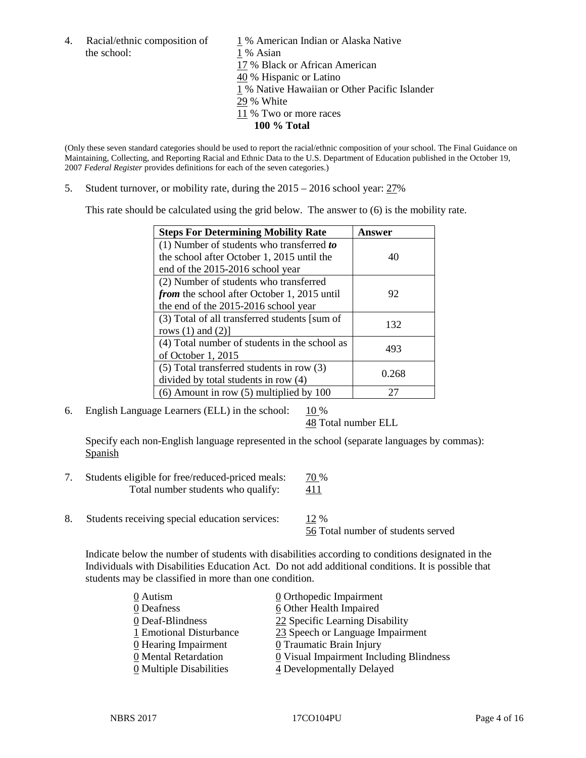the school: 1 % Asian

4. Racial/ethnic composition of  $1\%$  American Indian or Alaska Native 17 % Black or African American 40 % Hispanic or Latino 1 % Native Hawaiian or Other Pacific Islander 29 % White 11 % Two or more races **100 % Total**

(Only these seven standard categories should be used to report the racial/ethnic composition of your school. The Final Guidance on Maintaining, Collecting, and Reporting Racial and Ethnic Data to the U.S. Department of Education published in the October 19, 2007 *Federal Register* provides definitions for each of the seven categories.)

5. Student turnover, or mobility rate, during the 2015 – 2016 school year: 27%

This rate should be calculated using the grid below. The answer to (6) is the mobility rate.

| <b>Steps For Determining Mobility Rate</b>         | Answer |  |
|----------------------------------------------------|--------|--|
| (1) Number of students who transferred to          |        |  |
| the school after October 1, 2015 until the         | 40     |  |
| end of the 2015-2016 school year                   |        |  |
| (2) Number of students who transferred             |        |  |
| <i>from</i> the school after October 1, 2015 until | 92     |  |
| the end of the 2015-2016 school year               |        |  |
| (3) Total of all transferred students [sum of      | 132    |  |
| rows $(1)$ and $(2)$ ]                             |        |  |
| (4) Total number of students in the school as      | 493    |  |
| of October 1, 2015                                 |        |  |
| $(5)$ Total transferred students in row $(3)$      | 0.268  |  |
| divided by total students in row (4)               |        |  |
| $(6)$ Amount in row $(5)$ multiplied by 100        | 27     |  |

6. English Language Learners (ELL) in the school:  $10\%$ 

48 Total number ELL

Specify each non-English language represented in the school (separate languages by commas): **Spanish** 

- 7. Students eligible for free/reduced-priced meals: 70 % Total number students who qualify: 411
- 8. Students receiving special education services: 12 %

56 Total number of students served

Indicate below the number of students with disabilities according to conditions designated in the Individuals with Disabilities Education Act. Do not add additional conditions. It is possible that students may be classified in more than one condition.

| 0 Autism                              | $\underline{0}$ Orthopedic Impairment   |
|---------------------------------------|-----------------------------------------|
| 0 Deafness                            | 6 Other Health Impaired                 |
| 0 Deaf-Blindness                      | 22 Specific Learning Disability         |
| 1 Emotional Disturbance               | 23 Speech or Language Impairment        |
| 0 Hearing Impairment                  | 0 Traumatic Brain Injury                |
| 0 Mental Retardation                  | 0 Visual Impairment Including Blindness |
| $\underline{0}$ Multiple Disabilities | 4 Developmentally Delayed               |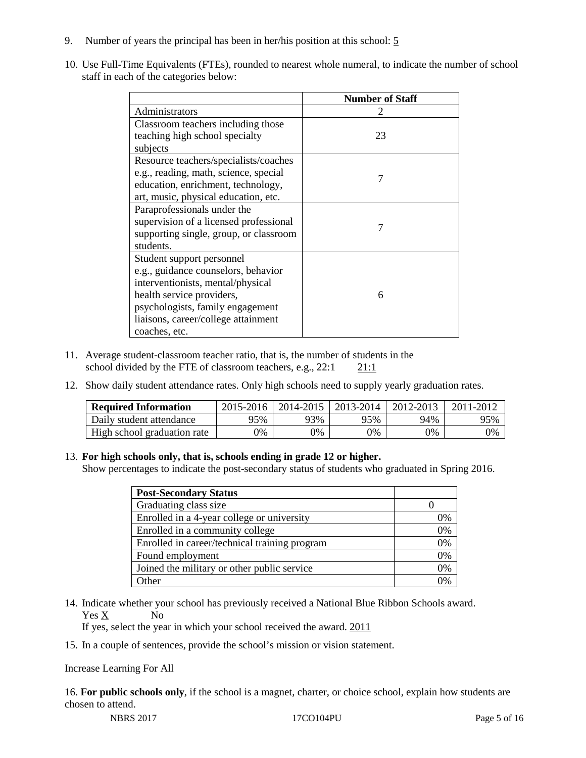- 9. Number of years the principal has been in her/his position at this school: 5
- 10. Use Full-Time Equivalents (FTEs), rounded to nearest whole numeral, to indicate the number of school staff in each of the categories below:

|                                        | <b>Number of Staff</b> |
|----------------------------------------|------------------------|
| Administrators                         |                        |
| Classroom teachers including those     |                        |
| teaching high school specialty         | 23                     |
| subjects                               |                        |
| Resource teachers/specialists/coaches  |                        |
| e.g., reading, math, science, special  | 7                      |
| education, enrichment, technology,     |                        |
| art, music, physical education, etc.   |                        |
| Paraprofessionals under the            |                        |
| supervision of a licensed professional |                        |
| supporting single, group, or classroom |                        |
| students.                              |                        |
| Student support personnel              |                        |
| e.g., guidance counselors, behavior    |                        |
| interventionists, mental/physical      |                        |
| health service providers,              | 6                      |
| psychologists, family engagement       |                        |
| liaisons, career/college attainment    |                        |
| coaches, etc.                          |                        |

- 11. Average student-classroom teacher ratio, that is, the number of students in the school divided by the FTE of classroom teachers, e.g., 22:1 21:1
- 12. Show daily student attendance rates. Only high schools need to supply yearly graduation rates.

| <b>Required Information</b> | 2015-2016 | 2014-2015 | 2013-2014 | 2012-2013 |     |
|-----------------------------|-----------|-----------|-----------|-----------|-----|
| Daily student attendance    | 95%       | 93%       | 95%       | 94%       | 95% |
| High school graduation rate | 0%        | 0%        | 0%        | 9%        | 0%  |

#### 13. **For high schools only, that is, schools ending in grade 12 or higher.**

Show percentages to indicate the post-secondary status of students who graduated in Spring 2016.

| <b>Post-Secondary Status</b>                  |    |
|-----------------------------------------------|----|
| Graduating class size                         |    |
| Enrolled in a 4-year college or university    | 0% |
| Enrolled in a community college               | 0% |
| Enrolled in career/technical training program | 0% |
| Found employment                              | 0% |
| Joined the military or other public service   | 0% |
| )ther                                         |    |

14. Indicate whether your school has previously received a National Blue Ribbon Schools award. Yes X No

If yes, select the year in which your school received the award. 2011

15. In a couple of sentences, provide the school's mission or vision statement.

Increase Learning For All

16. **For public schools only**, if the school is a magnet, charter, or choice school, explain how students are chosen to attend.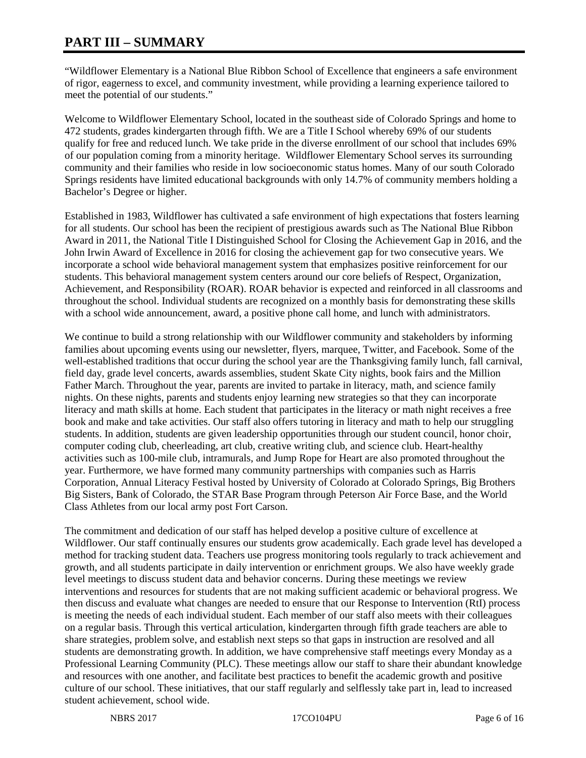# **PART III – SUMMARY**

"Wildflower Elementary is a National Blue Ribbon School of Excellence that engineers a safe environment of rigor, eagerness to excel, and community investment, while providing a learning experience tailored to meet the potential of our students."

Welcome to Wildflower Elementary School, located in the southeast side of Colorado Springs and home to 472 students, grades kindergarten through fifth. We are a Title I School whereby 69% of our students qualify for free and reduced lunch. We take pride in the diverse enrollment of our school that includes 69% of our population coming from a minority heritage. Wildflower Elementary School serves its surrounding community and their families who reside in low socioeconomic status homes. Many of our south Colorado Springs residents have limited educational backgrounds with only 14.7% of community members holding a Bachelor's Degree or higher.

Established in 1983, Wildflower has cultivated a safe environment of high expectations that fosters learning for all students. Our school has been the recipient of prestigious awards such as The National Blue Ribbon Award in 2011, the National Title I Distinguished School for Closing the Achievement Gap in 2016, and the John Irwin Award of Excellence in 2016 for closing the achievement gap for two consecutive years. We incorporate a school wide behavioral management system that emphasizes positive reinforcement for our students. This behavioral management system centers around our core beliefs of Respect, Organization, Achievement, and Responsibility (ROAR). ROAR behavior is expected and reinforced in all classrooms and throughout the school. Individual students are recognized on a monthly basis for demonstrating these skills with a school wide announcement, award, a positive phone call home, and lunch with administrators.

We continue to build a strong relationship with our Wildflower community and stakeholders by informing families about upcoming events using our newsletter, flyers, marquee, Twitter, and Facebook. Some of the well-established traditions that occur during the school year are the Thanksgiving family lunch, fall carnival, field day, grade level concerts, awards assemblies, student Skate City nights, book fairs and the Million Father March. Throughout the year, parents are invited to partake in literacy, math, and science family nights. On these nights, parents and students enjoy learning new strategies so that they can incorporate literacy and math skills at home. Each student that participates in the literacy or math night receives a free book and make and take activities. Our staff also offers tutoring in literacy and math to help our struggling students. In addition, students are given leadership opportunities through our student council, honor choir, computer coding club, cheerleading, art club, creative writing club, and science club. Heart-healthy activities such as 100-mile club, intramurals, and Jump Rope for Heart are also promoted throughout the year. Furthermore, we have formed many community partnerships with companies such as Harris Corporation, Annual Literacy Festival hosted by University of Colorado at Colorado Springs, Big Brothers Big Sisters, Bank of Colorado, the STAR Base Program through Peterson Air Force Base, and the World Class Athletes from our local army post Fort Carson.

The commitment and dedication of our staff has helped develop a positive culture of excellence at Wildflower. Our staff continually ensures our students grow academically. Each grade level has developed a method for tracking student data. Teachers use progress monitoring tools regularly to track achievement and growth, and all students participate in daily intervention or enrichment groups. We also have weekly grade level meetings to discuss student data and behavior concerns. During these meetings we review interventions and resources for students that are not making sufficient academic or behavioral progress. We then discuss and evaluate what changes are needed to ensure that our Response to Intervention (RtI) process is meeting the needs of each individual student. Each member of our staff also meets with their colleagues on a regular basis. Through this vertical articulation, kindergarten through fifth grade teachers are able to share strategies, problem solve, and establish next steps so that gaps in instruction are resolved and all students are demonstrating growth. In addition, we have comprehensive staff meetings every Monday as a Professional Learning Community (PLC). These meetings allow our staff to share their abundant knowledge and resources with one another, and facilitate best practices to benefit the academic growth and positive culture of our school. These initiatives, that our staff regularly and selflessly take part in, lead to increased student achievement, school wide.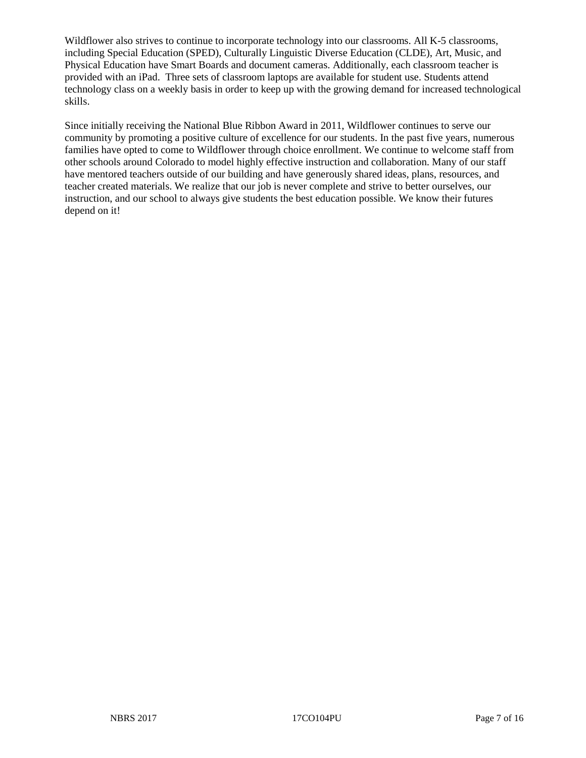Wildflower also strives to continue to incorporate technology into our classrooms. All K-5 classrooms, including Special Education (SPED), Culturally Linguistic Diverse Education (CLDE), Art, Music, and Physical Education have Smart Boards and document cameras. Additionally, each classroom teacher is provided with an iPad. Three sets of classroom laptops are available for student use. Students attend technology class on a weekly basis in order to keep up with the growing demand for increased technological skills.

Since initially receiving the National Blue Ribbon Award in 2011, Wildflower continues to serve our community by promoting a positive culture of excellence for our students. In the past five years, numerous families have opted to come to Wildflower through choice enrollment. We continue to welcome staff from other schools around Colorado to model highly effective instruction and collaboration. Many of our staff have mentored teachers outside of our building and have generously shared ideas, plans, resources, and teacher created materials. We realize that our job is never complete and strive to better ourselves, our instruction, and our school to always give students the best education possible. We know their futures depend on it!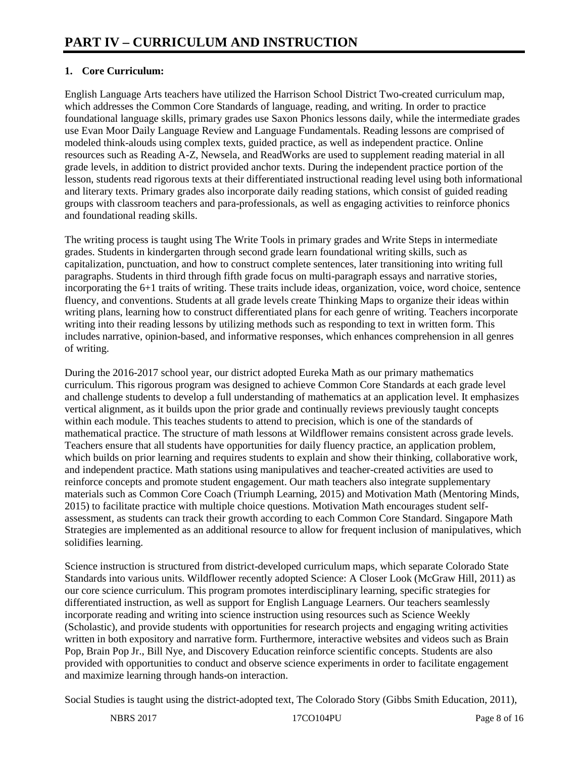# **1. Core Curriculum:**

English Language Arts teachers have utilized the Harrison School District Two-created curriculum map, which addresses the Common Core Standards of language, reading, and writing. In order to practice foundational language skills, primary grades use Saxon Phonics lessons daily, while the intermediate grades use Evan Moor Daily Language Review and Language Fundamentals. Reading lessons are comprised of modeled think-alouds using complex texts, guided practice, as well as independent practice. Online resources such as Reading A-Z, Newsela, and ReadWorks are used to supplement reading material in all grade levels, in addition to district provided anchor texts. During the independent practice portion of the lesson, students read rigorous texts at their differentiated instructional reading level using both informational and literary texts. Primary grades also incorporate daily reading stations, which consist of guided reading groups with classroom teachers and para-professionals, as well as engaging activities to reinforce phonics and foundational reading skills.

The writing process is taught using The Write Tools in primary grades and Write Steps in intermediate grades. Students in kindergarten through second grade learn foundational writing skills, such as capitalization, punctuation, and how to construct complete sentences, later transitioning into writing full paragraphs. Students in third through fifth grade focus on multi-paragraph essays and narrative stories, incorporating the 6+1 traits of writing. These traits include ideas, organization, voice, word choice, sentence fluency, and conventions. Students at all grade levels create Thinking Maps to organize their ideas within writing plans, learning how to construct differentiated plans for each genre of writing. Teachers incorporate writing into their reading lessons by utilizing methods such as responding to text in written form. This includes narrative, opinion-based, and informative responses, which enhances comprehension in all genres of writing.

During the 2016-2017 school year, our district adopted Eureka Math as our primary mathematics curriculum. This rigorous program was designed to achieve Common Core Standards at each grade level and challenge students to develop a full understanding of mathematics at an application level. It emphasizes vertical alignment, as it builds upon the prior grade and continually reviews previously taught concepts within each module. This teaches students to attend to precision, which is one of the standards of mathematical practice. The structure of math lessons at Wildflower remains consistent across grade levels. Teachers ensure that all students have opportunities for daily fluency practice, an application problem, which builds on prior learning and requires students to explain and show their thinking, collaborative work. and independent practice. Math stations using manipulatives and teacher-created activities are used to reinforce concepts and promote student engagement. Our math teachers also integrate supplementary materials such as Common Core Coach (Triumph Learning, 2015) and Motivation Math (Mentoring Minds, 2015) to facilitate practice with multiple choice questions. Motivation Math encourages student selfassessment, as students can track their growth according to each Common Core Standard. Singapore Math Strategies are implemented as an additional resource to allow for frequent inclusion of manipulatives, which solidifies learning.

Science instruction is structured from district-developed curriculum maps, which separate Colorado State Standards into various units. Wildflower recently adopted Science: A Closer Look (McGraw Hill, 2011) as our core science curriculum. This program promotes interdisciplinary learning, specific strategies for differentiated instruction, as well as support for English Language Learners. Our teachers seamlessly incorporate reading and writing into science instruction using resources such as Science Weekly (Scholastic), and provide students with opportunities for research projects and engaging writing activities written in both expository and narrative form. Furthermore, interactive websites and videos such as Brain Pop, Brain Pop Jr., Bill Nye, and Discovery Education reinforce scientific concepts. Students are also provided with opportunities to conduct and observe science experiments in order to facilitate engagement and maximize learning through hands-on interaction.

Social Studies is taught using the district-adopted text, The Colorado Story (Gibbs Smith Education, 2011),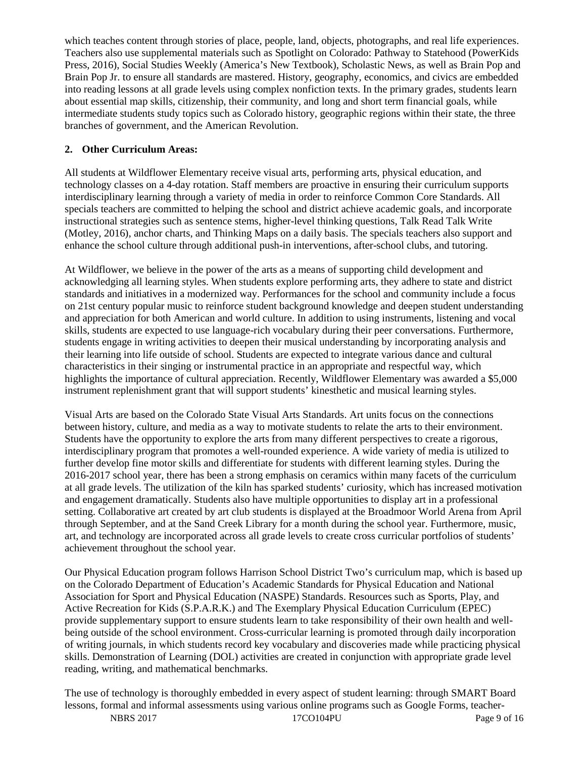which teaches content through stories of place, people, land, objects, photographs, and real life experiences. Teachers also use supplemental materials such as Spotlight on Colorado: Pathway to Statehood (PowerKids Press, 2016), Social Studies Weekly (America's New Textbook), Scholastic News, as well as Brain Pop and Brain Pop Jr. to ensure all standards are mastered. History, geography, economics, and civics are embedded into reading lessons at all grade levels using complex nonfiction texts. In the primary grades, students learn about essential map skills, citizenship, their community, and long and short term financial goals, while intermediate students study topics such as Colorado history, geographic regions within their state, the three branches of government, and the American Revolution.

# **2. Other Curriculum Areas:**

All students at Wildflower Elementary receive visual arts, performing arts, physical education, and technology classes on a 4-day rotation. Staff members are proactive in ensuring their curriculum supports interdisciplinary learning through a variety of media in order to reinforce Common Core Standards. All specials teachers are committed to helping the school and district achieve academic goals, and incorporate instructional strategies such as sentence stems, higher-level thinking questions, Talk Read Talk Write (Motley, 2016), anchor charts, and Thinking Maps on a daily basis. The specials teachers also support and enhance the school culture through additional push-in interventions, after-school clubs, and tutoring.

At Wildflower, we believe in the power of the arts as a means of supporting child development and acknowledging all learning styles. When students explore performing arts, they adhere to state and district standards and initiatives in a modernized way. Performances for the school and community include a focus on 21st century popular music to reinforce student background knowledge and deepen student understanding and appreciation for both American and world culture. In addition to using instruments, listening and vocal skills, students are expected to use language-rich vocabulary during their peer conversations. Furthermore, students engage in writing activities to deepen their musical understanding by incorporating analysis and their learning into life outside of school. Students are expected to integrate various dance and cultural characteristics in their singing or instrumental practice in an appropriate and respectful way, which highlights the importance of cultural appreciation. Recently, Wildflower Elementary was awarded a \$5,000 instrument replenishment grant that will support students' kinesthetic and musical learning styles.

Visual Arts are based on the Colorado State Visual Arts Standards. Art units focus on the connections between history, culture, and media as a way to motivate students to relate the arts to their environment. Students have the opportunity to explore the arts from many different perspectives to create a rigorous, interdisciplinary program that promotes a well-rounded experience. A wide variety of media is utilized to further develop fine motor skills and differentiate for students with different learning styles. During the 2016-2017 school year, there has been a strong emphasis on ceramics within many facets of the curriculum at all grade levels. The utilization of the kiln has sparked students' curiosity, which has increased motivation and engagement dramatically. Students also have multiple opportunities to display art in a professional setting. Collaborative art created by art club students is displayed at the Broadmoor World Arena from April through September, and at the Sand Creek Library for a month during the school year. Furthermore, music, art, and technology are incorporated across all grade levels to create cross curricular portfolios of students' achievement throughout the school year.

Our Physical Education program follows Harrison School District Two's curriculum map, which is based up on the Colorado Department of Education's Academic Standards for Physical Education and National Association for Sport and Physical Education (NASPE) Standards. Resources such as Sports, Play, and Active Recreation for Kids (S.P.A.R.K.) and The Exemplary Physical Education Curriculum (EPEC) provide supplementary support to ensure students learn to take responsibility of their own health and wellbeing outside of the school environment. Cross-curricular learning is promoted through daily incorporation of writing journals, in which students record key vocabulary and discoveries made while practicing physical skills. Demonstration of Learning (DOL) activities are created in conjunction with appropriate grade level reading, writing, and mathematical benchmarks.

The use of technology is thoroughly embedded in every aspect of student learning: through SMART Board lessons, formal and informal assessments using various online programs such as Google Forms, teacher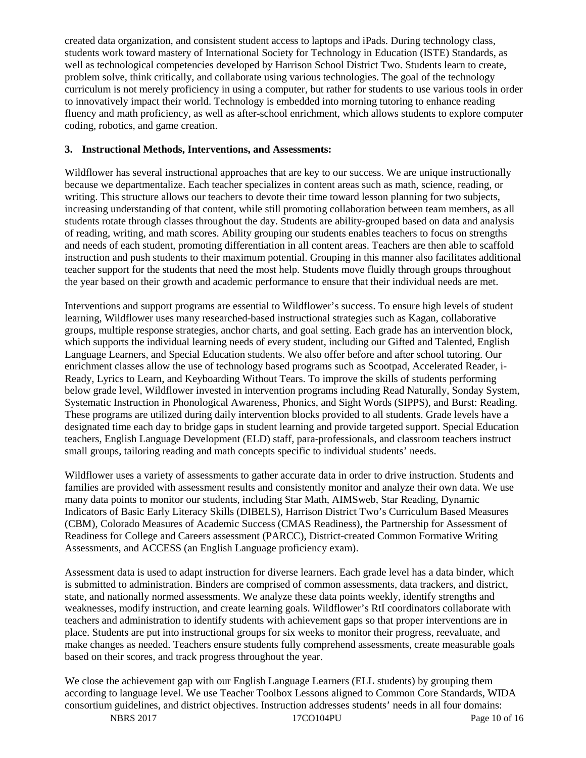created data organization, and consistent student access to laptops and iPads. During technology class, students work toward mastery of International Society for Technology in Education (ISTE) Standards, as well as technological competencies developed by Harrison School District Two. Students learn to create, problem solve, think critically, and collaborate using various technologies. The goal of the technology curriculum is not merely proficiency in using a computer, but rather for students to use various tools in order to innovatively impact their world. Technology is embedded into morning tutoring to enhance reading fluency and math proficiency, as well as after-school enrichment, which allows students to explore computer coding, robotics, and game creation.

#### **3. Instructional Methods, Interventions, and Assessments:**

Wildflower has several instructional approaches that are key to our success. We are unique instructionally because we departmentalize. Each teacher specializes in content areas such as math, science, reading, or writing. This structure allows our teachers to devote their time toward lesson planning for two subjects, increasing understanding of that content, while still promoting collaboration between team members, as all students rotate through classes throughout the day. Students are ability-grouped based on data and analysis of reading, writing, and math scores. Ability grouping our students enables teachers to focus on strengths and needs of each student, promoting differentiation in all content areas. Teachers are then able to scaffold instruction and push students to their maximum potential. Grouping in this manner also facilitates additional teacher support for the students that need the most help. Students move fluidly through groups throughout the year based on their growth and academic performance to ensure that their individual needs are met.

Interventions and support programs are essential to Wildflower's success. To ensure high levels of student learning, Wildflower uses many researched-based instructional strategies such as Kagan, collaborative groups, multiple response strategies, anchor charts, and goal setting. Each grade has an intervention block, which supports the individual learning needs of every student, including our Gifted and Talented, English Language Learners, and Special Education students. We also offer before and after school tutoring. Our enrichment classes allow the use of technology based programs such as Scootpad, Accelerated Reader, i-Ready, Lyrics to Learn, and Keyboarding Without Tears. To improve the skills of students performing below grade level, Wildflower invested in intervention programs including Read Naturally, Sonday System, Systematic Instruction in Phonological Awareness, Phonics, and Sight Words (SIPPS), and Burst: Reading. These programs are utilized during daily intervention blocks provided to all students. Grade levels have a designated time each day to bridge gaps in student learning and provide targeted support. Special Education teachers, English Language Development (ELD) staff, para-professionals, and classroom teachers instruct small groups, tailoring reading and math concepts specific to individual students' needs.

Wildflower uses a variety of assessments to gather accurate data in order to drive instruction. Students and families are provided with assessment results and consistently monitor and analyze their own data. We use many data points to monitor our students, including Star Math, AIMSweb, Star Reading, Dynamic Indicators of Basic Early Literacy Skills (DIBELS), Harrison District Two's Curriculum Based Measures (CBM), Colorado Measures of Academic Success (CMAS Readiness), the Partnership for Assessment of Readiness for College and Careers assessment (PARCC), District-created Common Formative Writing Assessments, and ACCESS (an English Language proficiency exam).

Assessment data is used to adapt instruction for diverse learners. Each grade level has a data binder, which is submitted to administration. Binders are comprised of common assessments, data trackers, and district, state, and nationally normed assessments. We analyze these data points weekly, identify strengths and weaknesses, modify instruction, and create learning goals. Wildflower's RtI coordinators collaborate with teachers and administration to identify students with achievement gaps so that proper interventions are in place. Students are put into instructional groups for six weeks to monitor their progress, reevaluate, and make changes as needed. Teachers ensure students fully comprehend assessments, create measurable goals based on their scores, and track progress throughout the year.

We close the achievement gap with our English Language Learners (ELL students) by grouping them according to language level. We use Teacher Toolbox Lessons aligned to Common Core Standards, WIDA consortium guidelines, and district objectives. Instruction addresses students' needs in all four domains: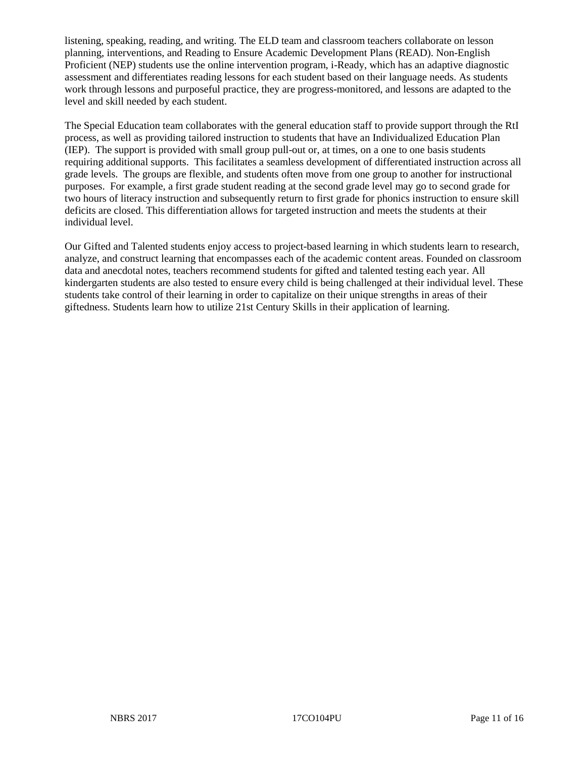listening, speaking, reading, and writing. The ELD team and classroom teachers collaborate on lesson planning, interventions, and Reading to Ensure Academic Development Plans (READ). Non-English Proficient (NEP) students use the online intervention program, i-Ready, which has an adaptive diagnostic assessment and differentiates reading lessons for each student based on their language needs. As students work through lessons and purposeful practice, they are progress-monitored, and lessons are adapted to the level and skill needed by each student.

The Special Education team collaborates with the general education staff to provide support through the RtI process, as well as providing tailored instruction to students that have an Individualized Education Plan (IEP). The support is provided with small group pull-out or, at times, on a one to one basis students requiring additional supports. This facilitates a seamless development of differentiated instruction across all grade levels. The groups are flexible, and students often move from one group to another for instructional purposes. For example, a first grade student reading at the second grade level may go to second grade for two hours of literacy instruction and subsequently return to first grade for phonics instruction to ensure skill deficits are closed. This differentiation allows for targeted instruction and meets the students at their individual level.

Our Gifted and Talented students enjoy access to project-based learning in which students learn to research, analyze, and construct learning that encompasses each of the academic content areas. Founded on classroom data and anecdotal notes, teachers recommend students for gifted and talented testing each year. All kindergarten students are also tested to ensure every child is being challenged at their individual level. These students take control of their learning in order to capitalize on their unique strengths in areas of their giftedness. Students learn how to utilize 21st Century Skills in their application of learning.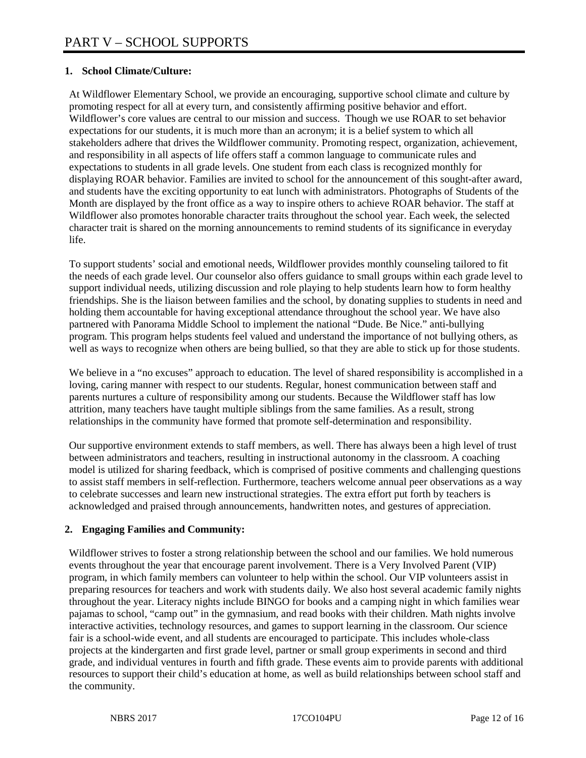### **1. School Climate/Culture:**

At Wildflower Elementary School, we provide an encouraging, supportive school climate and culture by promoting respect for all at every turn, and consistently affirming positive behavior and effort. Wildflower's core values are central to our mission and success. Though we use ROAR to set behavior expectations for our students, it is much more than an acronym; it is a belief system to which all stakeholders adhere that drives the Wildflower community. Promoting respect, organization, achievement, and responsibility in all aspects of life offers staff a common language to communicate rules and expectations to students in all grade levels. One student from each class is recognized monthly for displaying ROAR behavior. Families are invited to school for the announcement of this sought-after award, and students have the exciting opportunity to eat lunch with administrators. Photographs of Students of the Month are displayed by the front office as a way to inspire others to achieve ROAR behavior. The staff at Wildflower also promotes honorable character traits throughout the school year. Each week, the selected character trait is shared on the morning announcements to remind students of its significance in everyday life.

To support students' social and emotional needs, Wildflower provides monthly counseling tailored to fit the needs of each grade level. Our counselor also offers guidance to small groups within each grade level to support individual needs, utilizing discussion and role playing to help students learn how to form healthy friendships. She is the liaison between families and the school, by donating supplies to students in need and holding them accountable for having exceptional attendance throughout the school year. We have also partnered with Panorama Middle School to implement the national "Dude. Be Nice." anti-bullying program. This program helps students feel valued and understand the importance of not bullying others, as well as ways to recognize when others are being bullied, so that they are able to stick up for those students.

We believe in a "no excuses" approach to education. The level of shared responsibility is accomplished in a loving, caring manner with respect to our students. Regular, honest communication between staff and parents nurtures a culture of responsibility among our students. Because the Wildflower staff has low attrition, many teachers have taught multiple siblings from the same families. As a result, strong relationships in the community have formed that promote self-determination and responsibility.

Our supportive environment extends to staff members, as well. There has always been a high level of trust between administrators and teachers, resulting in instructional autonomy in the classroom. A coaching model is utilized for sharing feedback, which is comprised of positive comments and challenging questions to assist staff members in self-reflection. Furthermore, teachers welcome annual peer observations as a way to celebrate successes and learn new instructional strategies. The extra effort put forth by teachers is acknowledged and praised through announcements, handwritten notes, and gestures of appreciation.

## **2. Engaging Families and Community:**

Wildflower strives to foster a strong relationship between the school and our families. We hold numerous events throughout the year that encourage parent involvement. There is a Very Involved Parent (VIP) program, in which family members can volunteer to help within the school. Our VIP volunteers assist in preparing resources for teachers and work with students daily. We also host several academic family nights throughout the year. Literacy nights include BINGO for books and a camping night in which families wear pajamas to school, "camp out" in the gymnasium, and read books with their children. Math nights involve interactive activities, technology resources, and games to support learning in the classroom. Our science fair is a school-wide event, and all students are encouraged to participate. This includes whole-class projects at the kindergarten and first grade level, partner or small group experiments in second and third grade, and individual ventures in fourth and fifth grade. These events aim to provide parents with additional resources to support their child's education at home, as well as build relationships between school staff and the community.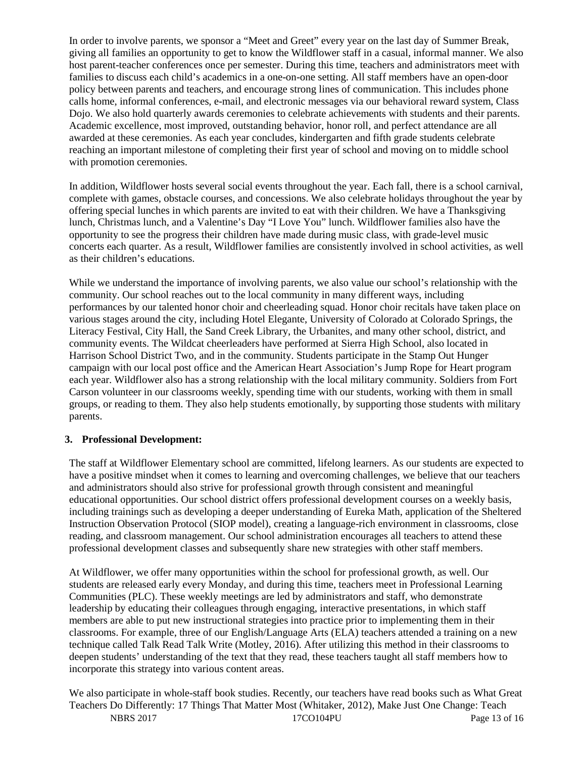In order to involve parents, we sponsor a "Meet and Greet" every year on the last day of Summer Break, giving all families an opportunity to get to know the Wildflower staff in a casual, informal manner. We also host parent-teacher conferences once per semester. During this time, teachers and administrators meet with families to discuss each child's academics in a one-on-one setting. All staff members have an open-door policy between parents and teachers, and encourage strong lines of communication. This includes phone calls home, informal conferences, e-mail, and electronic messages via our behavioral reward system, Class Dojo. We also hold quarterly awards ceremonies to celebrate achievements with students and their parents. Academic excellence, most improved, outstanding behavior, honor roll, and perfect attendance are all awarded at these ceremonies. As each year concludes, kindergarten and fifth grade students celebrate reaching an important milestone of completing their first year of school and moving on to middle school with promotion ceremonies.

In addition, Wildflower hosts several social events throughout the year. Each fall, there is a school carnival, complete with games, obstacle courses, and concessions. We also celebrate holidays throughout the year by offering special lunches in which parents are invited to eat with their children. We have a Thanksgiving lunch, Christmas lunch, and a Valentine's Day "I Love You" lunch. Wildflower families also have the opportunity to see the progress their children have made during music class, with grade-level music concerts each quarter. As a result, Wildflower families are consistently involved in school activities, as well as their children's educations.

While we understand the importance of involving parents, we also value our school's relationship with the community. Our school reaches out to the local community in many different ways, including performances by our talented honor choir and cheerleading squad. Honor choir recitals have taken place on various stages around the city, including Hotel Elegante, University of Colorado at Colorado Springs, the Literacy Festival, City Hall, the Sand Creek Library, the Urbanites, and many other school, district, and community events. The Wildcat cheerleaders have performed at Sierra High School, also located in Harrison School District Two, and in the community. Students participate in the Stamp Out Hunger campaign with our local post office and the American Heart Association's Jump Rope for Heart program each year. Wildflower also has a strong relationship with the local military community. Soldiers from Fort Carson volunteer in our classrooms weekly, spending time with our students, working with them in small groups, or reading to them. They also help students emotionally, by supporting those students with military parents.

## **3. Professional Development:**

The staff at Wildflower Elementary school are committed, lifelong learners. As our students are expected to have a positive mindset when it comes to learning and overcoming challenges, we believe that our teachers and administrators should also strive for professional growth through consistent and meaningful educational opportunities. Our school district offers professional development courses on a weekly basis, including trainings such as developing a deeper understanding of Eureka Math, application of the Sheltered Instruction Observation Protocol (SIOP model), creating a language-rich environment in classrooms, close reading, and classroom management. Our school administration encourages all teachers to attend these professional development classes and subsequently share new strategies with other staff members.

At Wildflower, we offer many opportunities within the school for professional growth, as well. Our students are released early every Monday, and during this time, teachers meet in Professional Learning Communities (PLC). These weekly meetings are led by administrators and staff, who demonstrate leadership by educating their colleagues through engaging, interactive presentations, in which staff members are able to put new instructional strategies into practice prior to implementing them in their classrooms. For example, three of our English/Language Arts (ELA) teachers attended a training on a new technique called Talk Read Talk Write (Motley, 2016). After utilizing this method in their classrooms to deepen students' understanding of the text that they read, these teachers taught all staff members how to incorporate this strategy into various content areas.

NBRS 2017 17CO104PU Page 13 of 16 We also participate in whole-staff book studies. Recently, our teachers have read books such as What Great Teachers Do Differently: 17 Things That Matter Most (Whitaker, 2012), Make Just One Change: Teach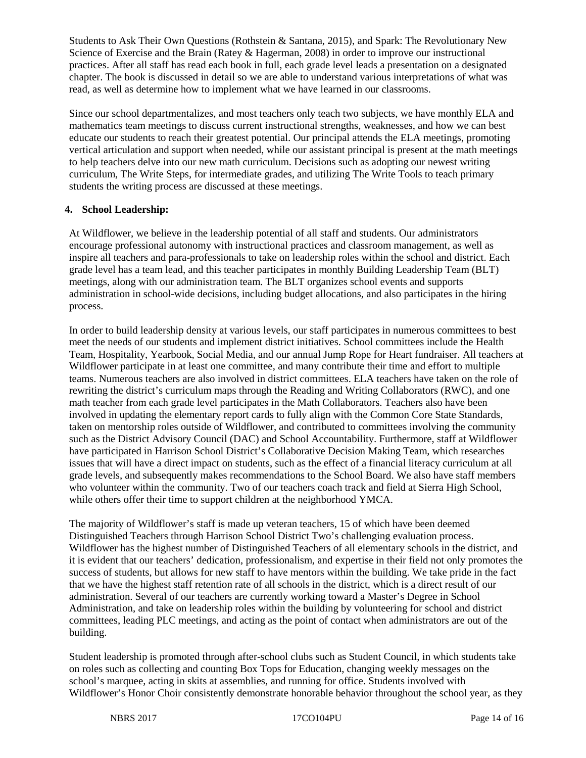Students to Ask Their Own Questions (Rothstein & Santana, 2015), and Spark: The Revolutionary New Science of Exercise and the Brain (Ratey & Hagerman, 2008) in order to improve our instructional practices. After all staff has read each book in full, each grade level leads a presentation on a designated chapter. The book is discussed in detail so we are able to understand various interpretations of what was read, as well as determine how to implement what we have learned in our classrooms.

Since our school departmentalizes, and most teachers only teach two subjects, we have monthly ELA and mathematics team meetings to discuss current instructional strengths, weaknesses, and how we can best educate our students to reach their greatest potential. Our principal attends the ELA meetings, promoting vertical articulation and support when needed, while our assistant principal is present at the math meetings to help teachers delve into our new math curriculum. Decisions such as adopting our newest writing curriculum, The Write Steps, for intermediate grades, and utilizing The Write Tools to teach primary students the writing process are discussed at these meetings.

#### **4. School Leadership:**

At Wildflower, we believe in the leadership potential of all staff and students. Our administrators encourage professional autonomy with instructional practices and classroom management, as well as inspire all teachers and para-professionals to take on leadership roles within the school and district. Each grade level has a team lead, and this teacher participates in monthly Building Leadership Team (BLT) meetings, along with our administration team. The BLT organizes school events and supports administration in school-wide decisions, including budget allocations, and also participates in the hiring process.

In order to build leadership density at various levels, our staff participates in numerous committees to best meet the needs of our students and implement district initiatives. School committees include the Health Team, Hospitality, Yearbook, Social Media, and our annual Jump Rope for Heart fundraiser. All teachers at Wildflower participate in at least one committee, and many contribute their time and effort to multiple teams. Numerous teachers are also involved in district committees. ELA teachers have taken on the role of rewriting the district's curriculum maps through the Reading and Writing Collaborators (RWC), and one math teacher from each grade level participates in the Math Collaborators. Teachers also have been involved in updating the elementary report cards to fully align with the Common Core State Standards, taken on mentorship roles outside of Wildflower, and contributed to committees involving the community such as the District Advisory Council (DAC) and School Accountability. Furthermore, staff at Wildflower have participated in Harrison School District's Collaborative Decision Making Team, which researches issues that will have a direct impact on students, such as the effect of a financial literacy curriculum at all grade levels, and subsequently makes recommendations to the School Board. We also have staff members who volunteer within the community. Two of our teachers coach track and field at Sierra High School, while others offer their time to support children at the neighborhood YMCA.

The majority of Wildflower's staff is made up veteran teachers, 15 of which have been deemed Distinguished Teachers through Harrison School District Two's challenging evaluation process. Wildflower has the highest number of Distinguished Teachers of all elementary schools in the district, and it is evident that our teachers' dedication, professionalism, and expertise in their field not only promotes the success of students, but allows for new staff to have mentors within the building. We take pride in the fact that we have the highest staff retention rate of all schools in the district, which is a direct result of our administration. Several of our teachers are currently working toward a Master's Degree in School Administration, and take on leadership roles within the building by volunteering for school and district committees, leading PLC meetings, and acting as the point of contact when administrators are out of the building.

Student leadership is promoted through after-school clubs such as Student Council, in which students take on roles such as collecting and counting Box Tops for Education, changing weekly messages on the school's marquee, acting in skits at assemblies, and running for office. Students involved with Wildflower's Honor Choir consistently demonstrate honorable behavior throughout the school year, as they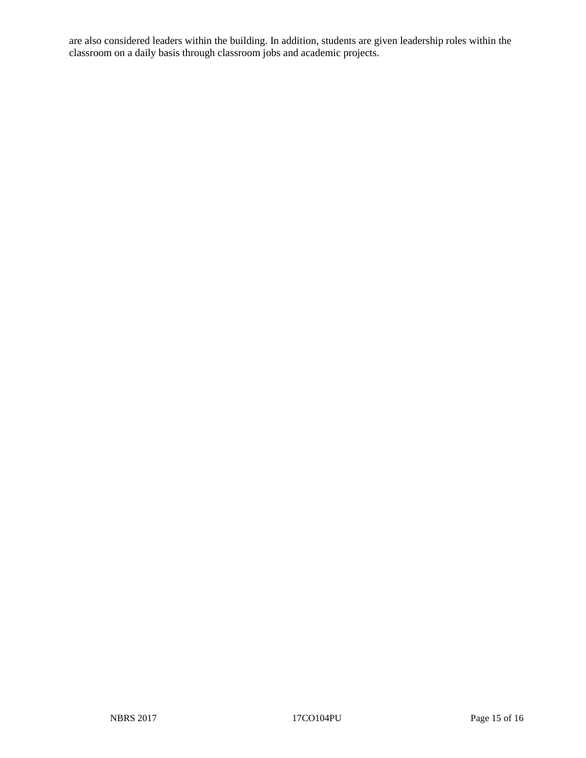are also considered leaders within the building. In addition, students are given leadership roles within the classroom on a daily basis through classroom jobs and academic projects.